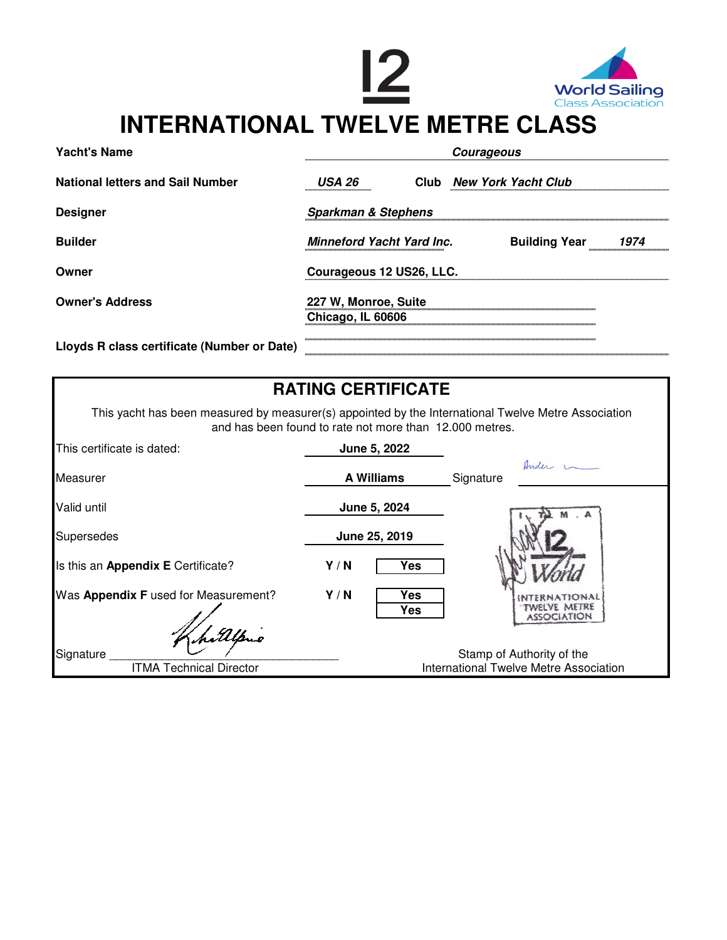

| <b>Yacht's Name</b>                         | <b>Courageous</b>                         |  |  |                          |      |
|---------------------------------------------|-------------------------------------------|--|--|--------------------------|------|
| <b>National letters and Sail Number</b>     | USA 26                                    |  |  | Club New York Yacht Club |      |
| <b>Designer</b>                             | <b>Sparkman &amp; Stephens</b>            |  |  |                          |      |
| <b>Builder</b>                              | <b>Minneford Yacht Yard Inc.</b>          |  |  | <b>Building Year</b>     | 1974 |
| Owner                                       | Courageous 12 US26, LLC.                  |  |  |                          |      |
| <b>Owner's Address</b>                      | 227 W, Monroe, Suite<br>Chicago, IL 60606 |  |  |                          |      |
| Lloyds R class certificate (Number or Date) |                                           |  |  |                          |      |

| <b>RATING CERTIFICATE</b>                                                                                                                                      |                   |                                                                     |  |  |  |  |  |
|----------------------------------------------------------------------------------------------------------------------------------------------------------------|-------------------|---------------------------------------------------------------------|--|--|--|--|--|
| This yacht has been measured by measurer(s) appointed by the International Twelve Metre Association<br>and has been found to rate not more than 12.000 metres. |                   |                                                                     |  |  |  |  |  |
| This certificate is dated:                                                                                                                                     | June 5, 2022      |                                                                     |  |  |  |  |  |
| Measurer                                                                                                                                                       | <b>A Williams</b> | Ander u<br>Signature                                                |  |  |  |  |  |
| Valid until                                                                                                                                                    | June 5, 2024      |                                                                     |  |  |  |  |  |
| <b>Supersedes</b>                                                                                                                                              | June 25, 2019     |                                                                     |  |  |  |  |  |
| Is this an Appendix E Certificate?                                                                                                                             | Y/N<br>Yes        |                                                                     |  |  |  |  |  |
| Was Appendix F used for Measurement?                                                                                                                           | Y/N<br>Yes<br>Yes | fwelve metre<br>ASSOCIATION                                         |  |  |  |  |  |
| hillpno<br>Signature<br><b>ITMA Technical Director</b>                                                                                                         |                   | Stamp of Authority of the<br>International Twelve Metre Association |  |  |  |  |  |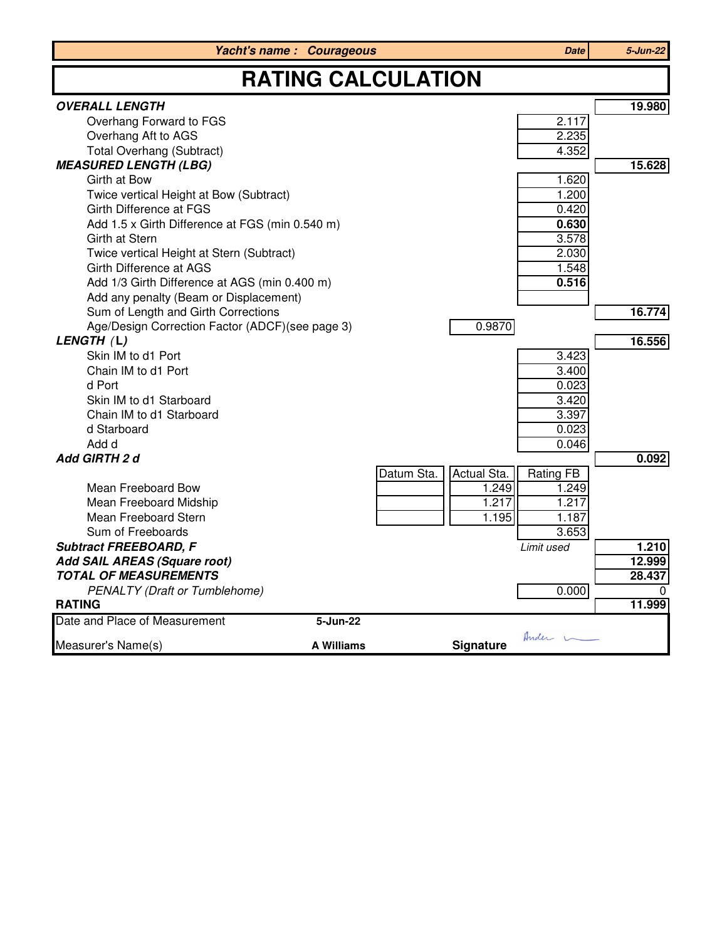|                                                 | <b>Yacht's name: Courageous</b> |            |             | <b>Date</b>    | 5-Jun-22 |  |
|-------------------------------------------------|---------------------------------|------------|-------------|----------------|----------|--|
| <b>RATING CALCULATION</b>                       |                                 |            |             |                |          |  |
| <b>OVERALL LENGTH</b>                           |                                 |            |             |                | 19.980   |  |
| Overhang Forward to FGS                         |                                 |            |             | 2.117          |          |  |
| Overhang Aft to AGS                             |                                 |            |             | 2.235          |          |  |
| <b>Total Overhang (Subtract)</b>                |                                 |            |             | 4.352          |          |  |
| <b>MEASURED LENGTH (LBG)</b>                    |                                 |            |             |                | 15.628   |  |
| Girth at Bow                                    |                                 |            |             | 1.620          |          |  |
| Twice vertical Height at Bow (Subtract)         |                                 |            |             | 1.200          |          |  |
| Girth Difference at FGS                         |                                 |            |             | 0.420          |          |  |
| Add 1.5 x Girth Difference at FGS (min 0.540 m) |                                 |            |             | 0.630          |          |  |
| Girth at Stern                                  |                                 |            |             | 3.578          |          |  |
| Twice vertical Height at Stern (Subtract)       |                                 |            |             | 2.030          |          |  |
| Girth Difference at AGS                         |                                 |            |             | 1.548          |          |  |
| Add 1/3 Girth Difference at AGS (min 0.400 m)   |                                 |            |             | 0.516          |          |  |
| Add any penalty (Beam or Displacement)          |                                 |            |             |                |          |  |
| Sum of Length and Girth Corrections             |                                 |            |             |                | 16.774   |  |
| Age/Design Correction Factor (ADCF)(see page 3) |                                 |            | 0.9870      |                |          |  |
| LENGTH (L)<br>Skin IM to d1 Port                |                                 |            |             |                | 16.556   |  |
| Chain IM to d1 Port                             |                                 |            |             | 3.423<br>3.400 |          |  |
| d Port                                          |                                 |            |             | 0.023          |          |  |
| Skin IM to d1 Starboard                         |                                 |            |             | 3.420          |          |  |
| Chain IM to d1 Starboard                        |                                 |            |             | 3.397          |          |  |
| d Starboard                                     |                                 |            |             | 0.023          |          |  |
| Add d                                           |                                 |            |             | 0.046          |          |  |
| Add GIRTH 2 d                                   |                                 |            |             |                | 0.092    |  |
|                                                 |                                 | Datum Sta. | Actual Sta. | Rating FB      |          |  |
| Mean Freeboard Bow                              |                                 |            | 1.249       | 1.249          |          |  |
| Mean Freeboard Midship                          |                                 |            | 1.217       | 1.217          |          |  |
| Mean Freeboard Stern                            |                                 |            | 1.195       | 1.187          |          |  |
| Sum of Freeboards                               |                                 |            |             | 3.653          |          |  |
| <b>Subtract FREEBOARD, F</b>                    |                                 |            |             | Limit used     | 1.210    |  |
| Add SAIL AREAS (Square root)                    |                                 |            |             |                | 12.999   |  |
| <b>TOTAL OF MEASUREMENTS</b>                    |                                 |            |             |                | 28.437   |  |
| <b>PENALTY (Draft or Tumblehome)</b>            |                                 |            |             | 0.000          |          |  |
| <b>RATING</b>                                   |                                 |            |             |                | 11.999   |  |
| Date and Place of Measurement                   | 5-Jun-22                        |            |             |                |          |  |
| Measurer's Name(s)                              | <b>A Williams</b>               |            | Signature   | Ander L        |          |  |
|                                                 |                                 |            |             |                |          |  |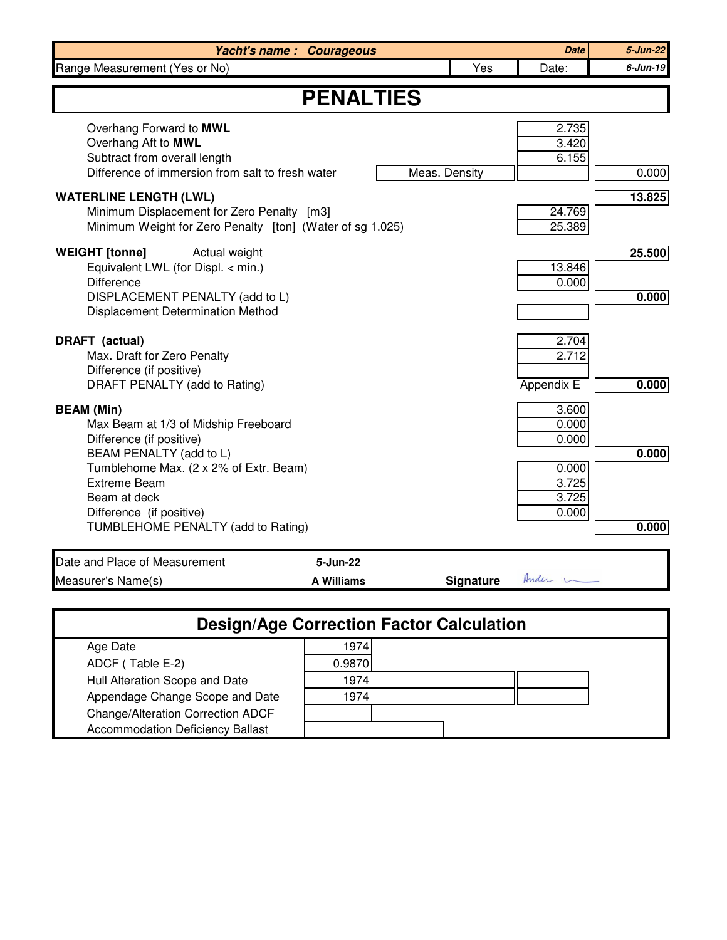| <b>Yacht's name: Courageous</b>                                                                                                                                           |               | <b>Date</b>                         | $5 - Jun-22$    |
|---------------------------------------------------------------------------------------------------------------------------------------------------------------------------|---------------|-------------------------------------|-----------------|
| Range Measurement (Yes or No)                                                                                                                                             | Yes           | Date:                               | 6-Jun-19        |
| <b>PENALTIES</b>                                                                                                                                                          |               |                                     |                 |
| Overhang Forward to MWL<br>Overhang Aft to MWL<br>Subtract from overall length<br>Difference of immersion from salt to fresh water                                        | Meas. Density | 2.735<br>3.420<br>6.155             | 0.000           |
| <b>WATERLINE LENGTH (LWL)</b><br>Minimum Displacement for Zero Penalty [m3]<br>Minimum Weight for Zero Penalty [ton] (Water of sg 1.025)                                  |               | 24.769<br>25.389                    | 13.825          |
| <b>WEIGHT</b> [tonne]<br>Actual weight<br>Equivalent LWL (for Displ. < min.)<br><b>Difference</b><br>DISPLACEMENT PENALTY (add to L)<br>Displacement Determination Method |               | 13.846<br>0.000                     | 25.500<br>0.000 |
| DRAFT (actual)<br>Max. Draft for Zero Penalty<br>Difference (if positive)<br>DRAFT PENALTY (add to Rating)                                                                |               | 2.704<br>2.712<br><b>Appendix E</b> | 0.000           |
| <b>BEAM</b> (Min)<br>Max Beam at 1/3 of Midship Freeboard<br>Difference (if positive)<br>BEAM PENALTY (add to L)                                                          |               | 3.600<br>0.000<br>0.000             | 0.000           |
| Tumblehome Max. (2 x 2% of Extr. Beam)<br><b>Extreme Beam</b><br>Beam at deck<br>Difference (if positive)<br>TUMBLEHOME PENALTY (add to Rating)                           |               | 0.000<br>3.725<br>3.725<br>0.000    | 0.000           |
|                                                                                                                                                                           |               |                                     |                 |
| Date and Place of Measurement<br>5-Jun-22<br>Measurer's Name(s)<br><b>A Williams</b>                                                                                      | Signature     | Ander 1                             |                 |

| --                                      |        |  |  |
|-----------------------------------------|--------|--|--|
| Age Date                                | 1974   |  |  |
| ADCF (Table E-2)                        | 0.9870 |  |  |
| Hull Alteration Scope and Date          | 1974   |  |  |
| Appendage Change Scope and Date         | 1974   |  |  |
| Change/Alteration Correction ADCF       |        |  |  |
| <b>Accommodation Deficiency Ballast</b> |        |  |  |